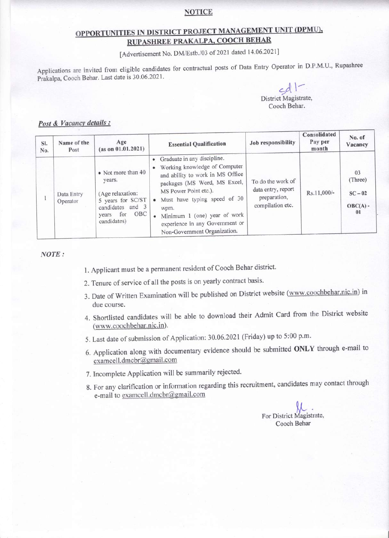#### **NOTICE**

# OPPORTUNITIES IN DISTRICT PROJECT MANAGEMENT UNIT (DPMU), RUPASHREE PRAKALPA, COOCH BEHAR

[Advertisement No. DM/Estb./03 of 2021 dated 14.06.2021]

Applications are invited from eligible candidates for contractual posts of Data Entry Operator in D.P.M.U., Rupashree Prakalpa, Cooch Behar. Last date is 30.06.2021.

District Magistrate,

Cooch Behar.

#### Post & Vacancy details :

| SI.<br>No. | Name of the<br>Post    | Age<br>(as on 01.01.2021)                                                                                                    | <b>Essential Qualification</b>                                                                                                                                                                                                                                                                                  | Job responsibility                                                          | Consolidated<br>Pay per<br>month | No. of<br>Vacancy                              |
|------------|------------------------|------------------------------------------------------------------------------------------------------------------------------|-----------------------------------------------------------------------------------------------------------------------------------------------------------------------------------------------------------------------------------------------------------------------------------------------------------------|-----------------------------------------------------------------------------|----------------------------------|------------------------------------------------|
|            | Data Entry<br>Operator | • Not more than 40<br>years.<br>(Age relaxation:<br>5 years for SC/ST<br>candidates and 3<br>OBC<br>years for<br>candidates) | • Graduate in any discipline.<br>• Working knowledge of Computer<br>and ability to work in MS Office<br>packages (MS Word, MS Excel,<br>MS Power Point etc.).<br>• Must have typing speed of 30<br>wpm.<br>Minimum 1 (one) year of work<br>۰<br>experience in any Government or<br>Non-Government Organization. | To do the work of<br>data entry, report<br>preparation,<br>compilation etc. | Rs.11,000/-                      | 03<br>(Three)<br>$SC - 02$<br>$OBC(A)$ -<br>01 |

NOTE:

- 1. Applicant must be a permanent resident of Cooch Behar district.
- 2. Tenure of service of all the posts is on yearly contract basis.
- 3. Date of Written Examination will be published on District website (www.coochbehar.nic.in) in due course.
- 4. Shortlisted candidates will be able to download their Admit Card from the District website (www.coochbehar.nic.in).
- 5. Last date of submission of Application: 30.06.2021 (Friday) up to 5:00 p.m.
- 6. Application along with documentary evidence should be submitted ONLY through e-mail to examcell.dmcbr@gmail.com
- 7. Incomplete Application will be summarily rejected.
- 8. For any clarification or information regarding this recruitment, candidates may contact through e-mail to examcell.dmcbr@gmail.com

For District Magistrate, Cooch Behar